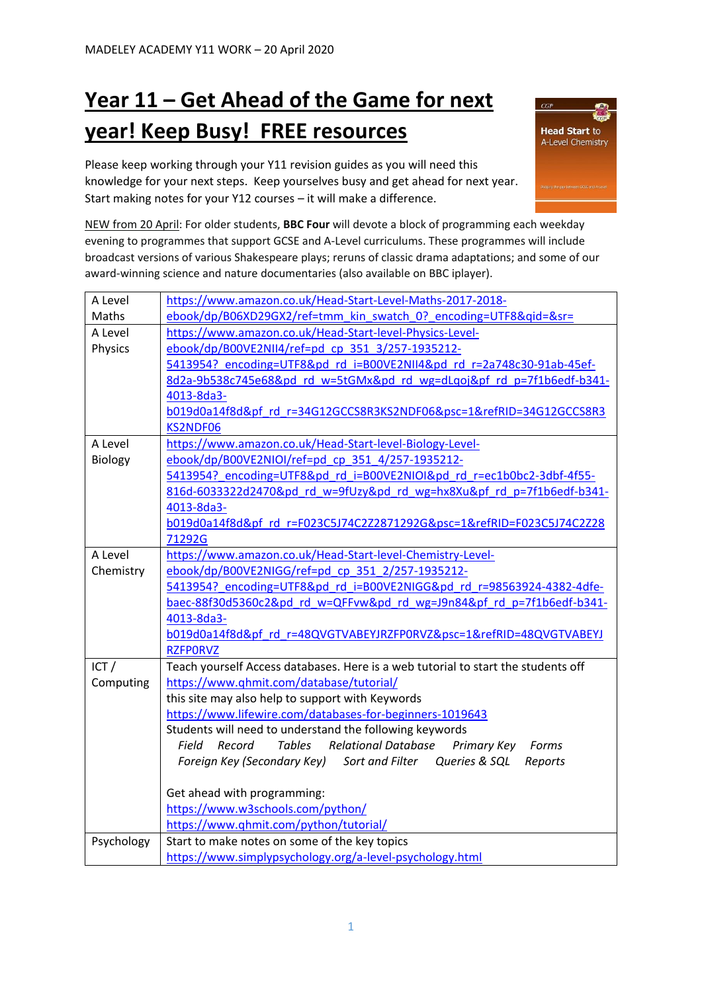## **Year 11 – Get Ahead of the Game for next year! Keep Busy! FREE resources**

Please keep working through your Y11 revision guides as you will need this knowledge for your next steps. Keep yourselves busy and get ahead for next year. Start making notes for your Y12 courses – it will make a difference.



NEW from 20 April: For older students, **BBC Four** will devote a block of programming each weekday evening to programmes that support GCSE and A-Level curriculums. These programmes will include broadcast versions of various Shakespeare plays; reruns of classic drama adaptations; and some of our award-winning science and nature documentaries (also available on BBC iplayer).

| A Level                                                                                    | https://www.amazon.co.uk/Head-Start-Level-Maths-2017-2018-                      |  |  |
|--------------------------------------------------------------------------------------------|---------------------------------------------------------------------------------|--|--|
| Maths                                                                                      | ebook/dp/B06XD29GX2/ref=tmm kin swatch 0? encoding=UTF8&qid=&sr=                |  |  |
| A Level                                                                                    | https://www.amazon.co.uk/Head-Start-level-Physics-Level-                        |  |  |
| Physics                                                                                    | ebook/dp/B00VE2NII4/ref=pd_cp_351_3/257-1935212-                                |  |  |
|                                                                                            | 5413954? encoding=UTF8&pd rd i=B00VE2NII4&pd rd r=2a748c30-91ab-45ef-           |  |  |
|                                                                                            | 8d2a-9b538c745e68&pd rd w=5tGMx&pd rd wg=dLqoj&pf rd p=7f1b6edf-b341-           |  |  |
|                                                                                            | 4013-8da3-                                                                      |  |  |
|                                                                                            | b019d0a14f8d&pf rd r=34G12GCCS8R3KS2NDF06&psc=1&refRID=34G12GCCS8R3             |  |  |
|                                                                                            | KS2NDF06                                                                        |  |  |
| A Level                                                                                    | https://www.amazon.co.uk/Head-Start-level-Biology-Level-                        |  |  |
| Biology                                                                                    | ebook/dp/B00VE2NIOI/ref=pd_cp_351_4/257-1935212-                                |  |  |
|                                                                                            | 5413954? encoding=UTF8&pd_rd_i=B00VE2NIOI&pd_rd_r=ec1b0bc2-3dbf-4f55-           |  |  |
|                                                                                            | 816d-6033322d2470&pd rd w=9fUzy&pd rd wg=hx8Xu&pf rd p=7f1b6edf-b341-           |  |  |
|                                                                                            | 4013-8da3-                                                                      |  |  |
|                                                                                            | b019d0a14f8d&pf rd r=F023C5J74C2Z2871292G&psc=1&refRID=F023C5J74C2Z28           |  |  |
|                                                                                            | 71292G                                                                          |  |  |
| A Level                                                                                    | https://www.amazon.co.uk/Head-Start-level-Chemistry-Level-                      |  |  |
| Chemistry                                                                                  | ebook/dp/B00VE2NIGG/ref=pd cp 351 2/257-1935212-                                |  |  |
|                                                                                            | 5413954? encoding=UTF8&pd rd i=B00VE2NIGG&pd rd r=98563924-4382-4dfe-           |  |  |
|                                                                                            | baec-88f30d5360c2&pd rd w=QFFvw&pd rd wg=J9n84&pf rd p=7f1b6edf-b341-           |  |  |
|                                                                                            | 4013-8da3-                                                                      |  |  |
|                                                                                            | b019d0a14f8d&pf rd r=48QVGTVABEYJRZFP0RVZ&psc=1&refRID=48QVGTVABEYJ             |  |  |
|                                                                                            | <b>RZFPORVZ</b>                                                                 |  |  |
| ICT /<br>Teach yourself Access databases. Here is a web tutorial to start the students off |                                                                                 |  |  |
| Computing                                                                                  | https://www.qhmit.com/database/tutorial/                                        |  |  |
|                                                                                            | this site may also help to support with Keywords                                |  |  |
|                                                                                            | https://www.lifewire.com/databases-for-beginners-1019643                        |  |  |
|                                                                                            | Students will need to understand the following keywords                         |  |  |
|                                                                                            | <b>Tables</b><br>Relational Database<br>Primary Key<br>Field<br>Record<br>Forms |  |  |
|                                                                                            | Foreign Key (Secondary Key) Sort and Filter Queries & SQL<br>Reports            |  |  |
|                                                                                            |                                                                                 |  |  |
|                                                                                            | Get ahead with programming:                                                     |  |  |
|                                                                                            | https://www.w3schools.com/python/                                               |  |  |
|                                                                                            | https://www.qhmit.com/python/tutorial/                                          |  |  |
| Psychology                                                                                 | Start to make notes on some of the key topics                                   |  |  |
|                                                                                            | https://www.simplypsychology.org/a-level-psychology.html                        |  |  |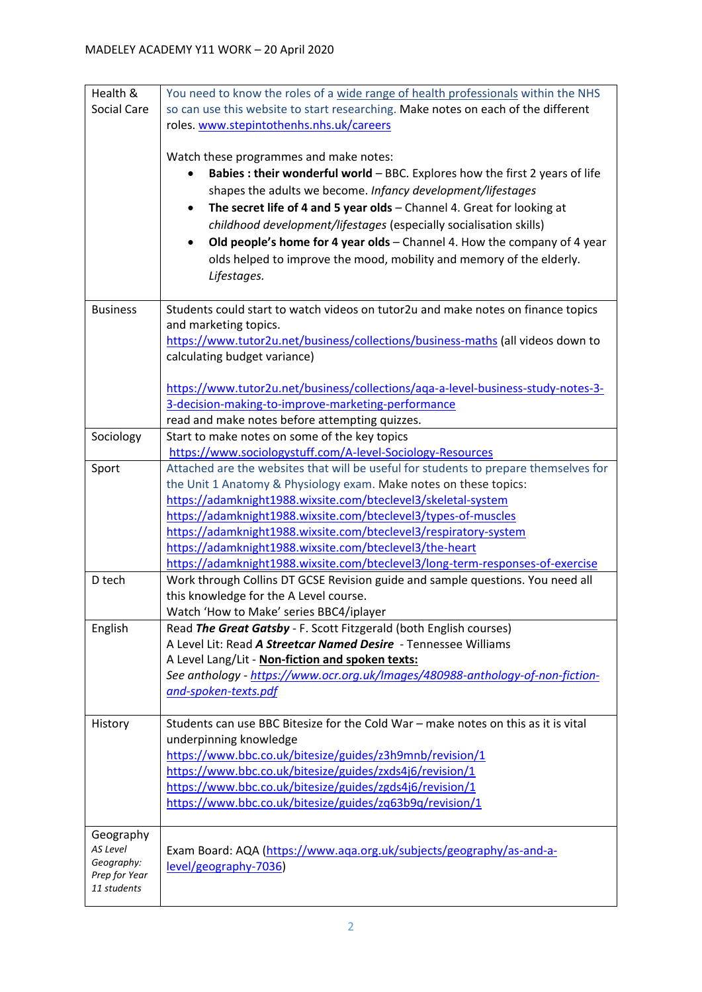| Health &        | You need to know the roles of a wide range of health professionals within the NHS    |  |  |  |
|-----------------|--------------------------------------------------------------------------------------|--|--|--|
| Social Care     | so can use this website to start researching. Make notes on each of the different    |  |  |  |
|                 | roles. www.stepintothenhs.nhs.uk/careers                                             |  |  |  |
|                 |                                                                                      |  |  |  |
|                 | Watch these programmes and make notes:                                               |  |  |  |
|                 | Babies : their wonderful world - BBC. Explores how the first 2 years of life         |  |  |  |
|                 | shapes the adults we become. Infancy development/lifestages                          |  |  |  |
|                 | The secret life of 4 and 5 year olds - Channel 4. Great for looking at               |  |  |  |
|                 | childhood development/lifestages (especially socialisation skills)                   |  |  |  |
|                 | Old people's home for 4 year olds - Channel 4. How the company of 4 year             |  |  |  |
|                 | olds helped to improve the mood, mobility and memory of the elderly.                 |  |  |  |
|                 |                                                                                      |  |  |  |
|                 | Lifestages.                                                                          |  |  |  |
| <b>Business</b> | Students could start to watch videos on tutor2u and make notes on finance topics     |  |  |  |
|                 | and marketing topics.                                                                |  |  |  |
|                 | https://www.tutor2u.net/business/collections/business-maths (all videos down to      |  |  |  |
|                 | calculating budget variance)                                                         |  |  |  |
|                 |                                                                                      |  |  |  |
|                 | https://www.tutor2u.net/business/collections/aga-a-level-business-study-notes-3-     |  |  |  |
|                 | 3-decision-making-to-improve-marketing-performance                                   |  |  |  |
|                 | read and make notes before attempting quizzes.                                       |  |  |  |
| Sociology       | Start to make notes on some of the key topics                                        |  |  |  |
|                 | https://www.sociologystuff.com/A-level-Sociology-Resources                           |  |  |  |
| Sport           | Attached are the websites that will be useful for students to prepare themselves for |  |  |  |
|                 | the Unit 1 Anatomy & Physiology exam. Make notes on these topics:                    |  |  |  |
|                 | https://adamknight1988.wixsite.com/bteclevel3/skeletal-system                        |  |  |  |
|                 | https://adamknight1988.wixsite.com/bteclevel3/types-of-muscles                       |  |  |  |
|                 | https://adamknight1988.wixsite.com/bteclevel3/respiratory-system                     |  |  |  |
|                 | https://adamknight1988.wixsite.com/bteclevel3/the-heart                              |  |  |  |
|                 | https://adamknight1988.wixsite.com/bteclevel3/long-term-responses-of-exercise        |  |  |  |
| D tech          | Work through Collins DT GCSE Revision guide and sample questions. You need all       |  |  |  |
|                 | this knowledge for the A Level course.                                               |  |  |  |
|                 | Watch 'How to Make' series BBC4/iplayer                                              |  |  |  |
| English         | Read The Great Gatsby - F. Scott Fitzgerald (both English courses)                   |  |  |  |
|                 | A Level Lit: Read A Streetcar Named Desire - Tennessee Williams                      |  |  |  |
|                 | A Level Lang/Lit - Non-fiction and spoken texts:                                     |  |  |  |
|                 | See anthology - https://www.ocr.org.uk/Images/480988-anthology-of-non-fiction-       |  |  |  |
|                 | and-spoken-texts.pdf                                                                 |  |  |  |
| History         | Students can use BBC Bitesize for the Cold War - make notes on this as it is vital   |  |  |  |
|                 | underpinning knowledge                                                               |  |  |  |
|                 | https://www.bbc.co.uk/bitesize/guides/z3h9mnb/revision/1                             |  |  |  |
|                 | https://www.bbc.co.uk/bitesize/guides/zxds4j6/revision/1                             |  |  |  |
|                 | https://www.bbc.co.uk/bitesize/guides/zgds4j6/revision/1                             |  |  |  |
|                 | https://www.bbc.co.uk/bitesize/guides/zq63b9q/revision/1                             |  |  |  |
|                 |                                                                                      |  |  |  |
| Geography       |                                                                                      |  |  |  |
| AS Level        | Exam Board: AQA (https://www.aqa.org.uk/subjects/geography/as-and-a-                 |  |  |  |
| Geography:      | level/geography-7036)                                                                |  |  |  |
| Prep for Year   |                                                                                      |  |  |  |
| 11 students     |                                                                                      |  |  |  |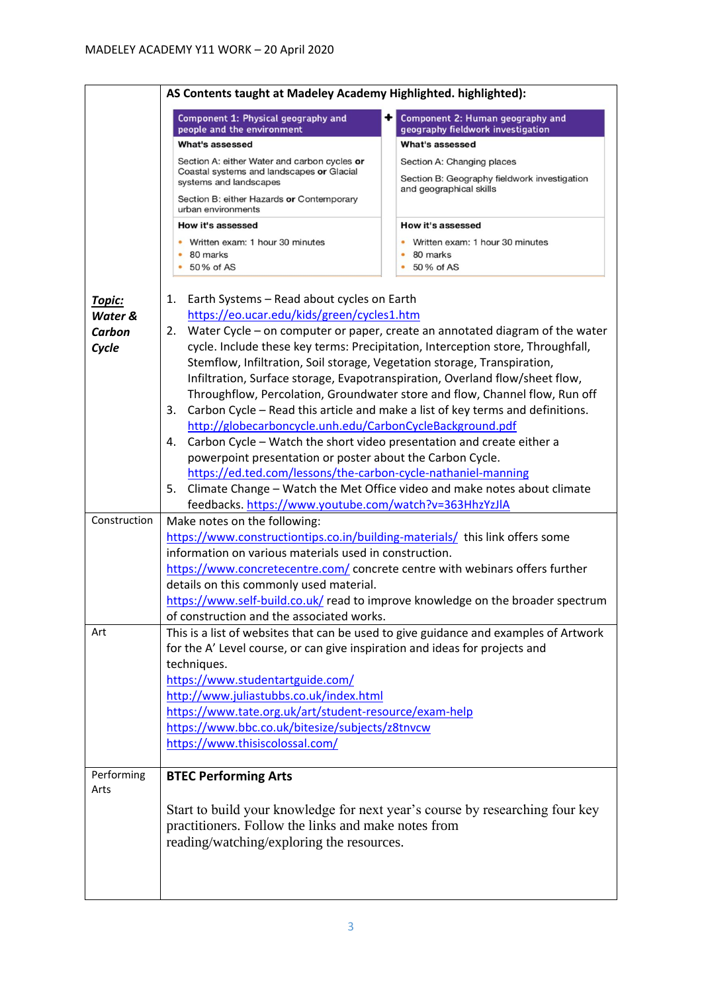|                    | AS Contents taught at Madeley Academy Highlighted. highlighted):                                                                                                      |                                                                                      |  |  |
|--------------------|-----------------------------------------------------------------------------------------------------------------------------------------------------------------------|--------------------------------------------------------------------------------------|--|--|
|                    | Component 1: Physical geography and<br>people and the environment                                                                                                     | Component 2: Human geography and<br>geography fieldwork investigation                |  |  |
|                    | What's assessed                                                                                                                                                       | What's assessed                                                                      |  |  |
|                    | Section A: either Water and carbon cycles or                                                                                                                          | Section A: Changing places                                                           |  |  |
|                    | Coastal systems and landscapes or Glacial<br>systems and landscapes                                                                                                   | Section B: Geography fieldwork investigation<br>and geographical skills              |  |  |
|                    | Section B: either Hazards or Contemporary<br>urban environments                                                                                                       |                                                                                      |  |  |
|                    | How it's assessed                                                                                                                                                     | How it's assessed                                                                    |  |  |
|                    | Written exam: 1 hour 30 minutes<br>80 marks                                                                                                                           | Written exam: 1 hour 30 minutes<br>80 marks                                          |  |  |
|                    | 50% of AS                                                                                                                                                             | 50 % of AS                                                                           |  |  |
| Topic:<br>Water &  | Earth Systems - Read about cycles on Earth<br>1.<br>https://eo.ucar.edu/kids/green/cycles1.htm                                                                        |                                                                                      |  |  |
| Carbon             | Water Cycle – on computer or paper, create an annotated diagram of the water<br>2.<br>cycle. Include these key terms: Precipitation, Interception store, Throughfall, |                                                                                      |  |  |
| Cycle              | Stemflow, Infiltration, Soil storage, Vegetation storage, Transpiration,                                                                                              |                                                                                      |  |  |
|                    |                                                                                                                                                                       | Infiltration, Surface storage, Evapotranspiration, Overland flow/sheet flow,         |  |  |
|                    |                                                                                                                                                                       | Throughflow, Percolation, Groundwater store and flow, Channel flow, Run off          |  |  |
|                    | 3.                                                                                                                                                                    | Carbon Cycle - Read this article and make a list of key terms and definitions.       |  |  |
|                    | http://globecarboncycle.unh.edu/CarbonCycleBackground.pdf                                                                                                             |                                                                                      |  |  |
|                    | Carbon Cycle - Watch the short video presentation and create either a<br>4.                                                                                           |                                                                                      |  |  |
|                    | powerpoint presentation or poster about the Carbon Cycle.                                                                                                             |                                                                                      |  |  |
|                    | https://ed.ted.com/lessons/the-carbon-cycle-nathaniel-manning                                                                                                         |                                                                                      |  |  |
|                    | 5.                                                                                                                                                                    | Climate Change - Watch the Met Office video and make notes about climate             |  |  |
|                    | feedbacks. https://www.youtube.com/watch?v=363HhzYzJlA                                                                                                                |                                                                                      |  |  |
| Construction       | Make notes on the following:                                                                                                                                          |                                                                                      |  |  |
|                    | https://www.constructiontips.co.in/building-materials/ this link offers some                                                                                          |                                                                                      |  |  |
|                    | information on various materials used in construction.                                                                                                                |                                                                                      |  |  |
|                    | https://www.concretecentre.com/ concrete centre with webinars offers further<br>details on this commonly used material.                                               |                                                                                      |  |  |
|                    |                                                                                                                                                                       | https://www.self-build.co.uk/ read to improve knowledge on the broader spectrum      |  |  |
|                    | of construction and the associated works.                                                                                                                             |                                                                                      |  |  |
| Art                |                                                                                                                                                                       | This is a list of websites that can be used to give guidance and examples of Artwork |  |  |
|                    | for the A' Level course, or can give inspiration and ideas for projects and                                                                                           |                                                                                      |  |  |
|                    | techniques.                                                                                                                                                           |                                                                                      |  |  |
|                    | https://www.studentartguide.com/                                                                                                                                      |                                                                                      |  |  |
|                    | http://www.juliastubbs.co.uk/index.html                                                                                                                               |                                                                                      |  |  |
|                    | https://www.tate.org.uk/art/student-resource/exam-help                                                                                                                |                                                                                      |  |  |
|                    | https://www.bbc.co.uk/bitesize/subjects/z8tnvcw                                                                                                                       |                                                                                      |  |  |
|                    | https://www.thisiscolossal.com/                                                                                                                                       |                                                                                      |  |  |
| Performing<br>Arts | <b>BTEC Performing Arts</b>                                                                                                                                           |                                                                                      |  |  |
|                    |                                                                                                                                                                       | Start to build your knowledge for next year's course by researching four key         |  |  |
|                    | practitioners. Follow the links and make notes from                                                                                                                   |                                                                                      |  |  |
|                    | reading/watching/exploring the resources.                                                                                                                             |                                                                                      |  |  |
|                    |                                                                                                                                                                       |                                                                                      |  |  |
|                    |                                                                                                                                                                       |                                                                                      |  |  |
|                    |                                                                                                                                                                       |                                                                                      |  |  |